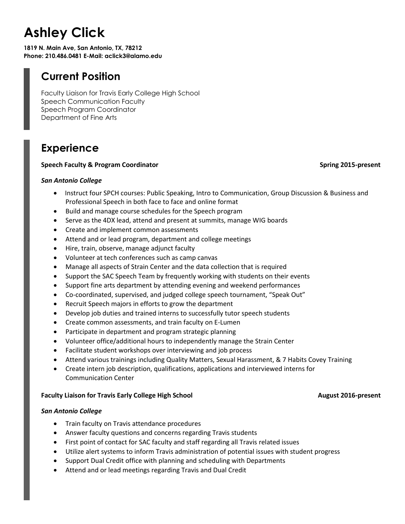# **Ashley Click**

**1819 N. Main Ave, San Antonio, TX, 78212 Phone: 210.486.0481 E-Mail: aclick3@alamo.edu**

## **Current Position**

Faculty Liaison for Travis Early College High School Speech Communication Faculty Speech Program Coordinator Department of Fine Arts

## **Experience**

### **Speech Faculty & Program Coordinator Spring 2015-present Spring 2015-present**

### *San Antonio College*

- Instruct four SPCH courses: Public Speaking, Intro to Communication, Group Discussion & Business and Professional Speech in both face to face and online format
- Build and manage course schedules for the Speech program
- Serve as the 4DX lead, attend and present at summits, manage WIG boards
- Create and implement common assessments
- Attend and or lead program, department and college meetings
- Hire, train, observe, manage adjunct faculty
- Volunteer at tech conferences such as camp canvas
- Manage all aspects of Strain Center and the data collection that is required
- Support the SAC Speech Team by frequently working with students on their events
- Support fine arts department by attending evening and weekend performances
- Co-coordinated, supervised, and judged college speech tournament, "Speak Out"
- Recruit Speech majors in efforts to grow the department
- Develop job duties and trained interns to successfully tutor speech students
- Create common assessments, and train faculty on E-Lumen
- Participate in department and program strategic planning
- Volunteer office/additional hours to independently manage the Strain Center
- Facilitate student workshops over interviewing and job process
- Attend various trainings including Quality Matters, Sexual Harassment, & 7 Habits Covey Training
- Create intern job description, qualifications, applications and interviewed interns for Communication Center

### **Faculty Liaison for Travis Early College High School August 2016-present**

### *San Antonio College*

- Train faculty on Travis attendance procedures
- Answer faculty questions and concerns regarding Travis students
- First point of contact for SAC faculty and staff regarding all Travis related issues
- Utilize alert systems to inform Travis administration of potential issues with student progress
- Support Dual Credit office with planning and scheduling with Departments
- Attend and or lead meetings regarding Travis and Dual Credit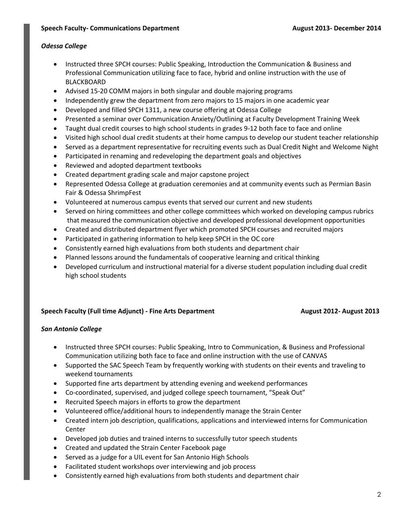### *Odessa College*

- Instructed three SPCH courses: Public Speaking, Introduction the Communication & Business and Professional Communication utilizing face to face, hybrid and online instruction with the use of BLACKBOARD
- Advised 15-20 COMM majors in both singular and double majoring programs
- Independently grew the department from zero majors to 15 majors in one academic year
- Developed and filled SPCH 1311, a new course offering at Odessa College
- Presented a seminar over Communication Anxiety/Outlining at Faculty Development Training Week
- Taught dual credit courses to high school students in grades 9-12 both face to face and online
- Visited high school dual credit students at their home campus to develop our student teacher relationship
- Served as a department representative for recruiting events such as Dual Credit Night and Welcome Night
- Participated in renaming and redeveloping the department goals and objectives
- Reviewed and adopted department textbooks
- Created department grading scale and major capstone project
- Represented Odessa College at graduation ceremonies and at community events such as Permian Basin Fair & Odessa ShrimpFest
- Volunteered at numerous campus events that served our current and new students
- Served on hiring committees and other college committees which worked on developing campus rubrics that measured the communication objective and developed professional development opportunities
- Created and distributed department flyer which promoted SPCH courses and recruited majors
- Participated in gathering information to help keep SPCH in the OC core
- Consistently earned high evaluations from both students and department chair
- Planned lessons around the fundamentals of cooperative learning and critical thinking
- Developed curriculum and instructional material for a diverse student population including dual credit high school students

### **Speech Faculty (Full time Adjunct) - Fine Arts Department August 2012- August 2013**

### *San Antonio College*

- Instructed three SPCH courses: Public Speaking, Intro to Communication, & Business and Professional Communication utilizing both face to face and online instruction with the use of CANVAS
- Supported the SAC Speech Team by frequently working with students on their events and traveling to weekend tournaments
- Supported fine arts department by attending evening and weekend performances
- Co-coordinated, supervised, and judged college speech tournament, "Speak Out"
- Recruited Speech majors in efforts to grow the department
- Volunteered office/additional hours to independently manage the Strain Center
- Created intern job description, qualifications, applications and interviewed interns for Communication Center
- Developed job duties and trained interns to successfully tutor speech students
- Created and updated the Strain Center Facebook page
- Served as a judge for a UIL event for San Antonio High Schools
- Facilitated student workshops over interviewing and job process
- Consistently earned high evaluations from both students and department chair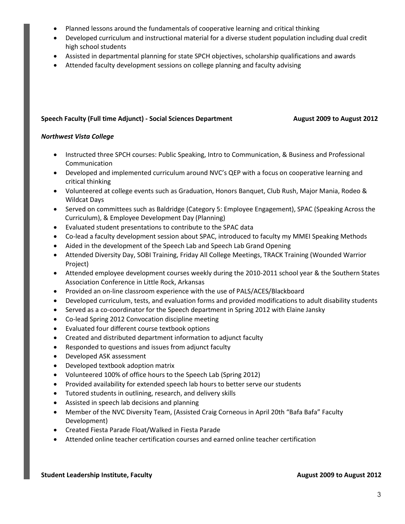- Planned lessons around the fundamentals of cooperative learning and critical thinking
- Developed curriculum and instructional material for a diverse student population including dual credit high school students
- Assisted in departmental planning for state SPCH objectives, scholarship qualifications and awards
- Attended faculty development sessions on college planning and faculty advising

### **Speech Faculty (Full time Adjunct)** - Social Sciences Department August 2009 to August 2012

### *Northwest Vista College*

- Instructed three SPCH courses: Public Speaking, Intro to Communication, & Business and Professional Communication
- Developed and implemented curriculum around NVC's QEP with a focus on cooperative learning and critical thinking
- Volunteered at college events such as Graduation, Honors Banquet, Club Rush, Major Mania, Rodeo & Wildcat Days
- Served on committees such as Baldridge (Category 5: Employee Engagement), SPAC (Speaking Across the Curriculum), & Employee Development Day (Planning)
- Evaluated student presentations to contribute to the SPAC data
- Co-lead a faculty development session about SPAC, introduced to faculty my MMEI Speaking Methods
- Aided in the development of the Speech Lab and Speech Lab Grand Opening
- Attended Diversity Day, SOBI Training, Friday All College Meetings, TRACK Training (Wounded Warrior Project)
- Attended employee development courses weekly during the 2010-2011 school year & the Southern States Association Conference in Little Rock, Arkansas
- Provided an on-line classroom experience with the use of PALS/ACES/Blackboard
- Developed curriculum, tests, and evaluation forms and provided modifications to adult disability students
- Served as a co-coordinator for the Speech department in Spring 2012 with Elaine Jansky
- Co-lead Spring 2012 Convocation discipline meeting
- Evaluated four different course textbook options
- Created and distributed department information to adjunct faculty
- Responded to questions and issues from adjunct faculty
- Developed ASK assessment
- Developed textbook adoption matrix
- Volunteered 100% of office hours to the Speech Lab (Spring 2012)
- Provided availability for extended speech lab hours to better serve our students
- Tutored students in outlining, research, and delivery skills
- Assisted in speech lab decisions and planning
- Member of the NVC Diversity Team, (Assisted Craig Corneous in April 20th "Bafa Bafa" Faculty Development)
- Created Fiesta Parade Float/Walked in Fiesta Parade
- Attended online teacher certification courses and earned online teacher certification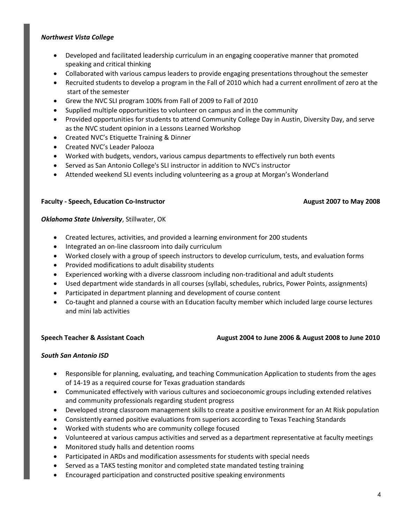### *Northwest Vista College*

- Developed and facilitated leadership curriculum in an engaging cooperative manner that promoted speaking and critical thinking
- Collaborated with various campus leaders to provide engaging presentations throughout the semester
- Recruited students to develop a program in the Fall of 2010 which had a current enrollment of zero at the start of the semester
- Grew the NVC SLI program 100% from Fall of 2009 to Fall of 2010
- Supplied multiple opportunities to volunteer on campus and in the community
- Provided opportunities for students to attend Community College Day in Austin, Diversity Day, and serve as the NVC student opinion in a Lessons Learned Workshop
- Created NVC's Etiquette Training & Dinner
- Created NVC's Leader Palooza
- Worked with budgets, vendors, various campus departments to effectively run both events
- Served as San Antonio College's SLI instructor in addition to NVC's instructor
- Attended weekend SLI events including volunteering as a group at Morgan's Wonderland

### **Faculty - Speech, Education Co-Instructor August 2007 to May 2008**

### *Oklahoma State University*, Stillwater, OK

- Created lectures, activities, and provided a learning environment for 200 students
- Integrated an on-line classroom into daily curriculum
- Worked closely with a group of speech instructors to develop curriculum, tests, and evaluation forms
- Provided modifications to adult disability students
- Experienced working with a diverse classroom including non-traditional and adult students
- Used department wide standards in all courses (syllabi, schedules, rubrics, Power Points, assignments)
- Participated in department planning and development of course content
- Co-taught and planned a course with an Education faculty member which included large course lectures and mini lab activities

### **Speech Teacher & Assistant Coach August 2004 to June 2006 & August 2008 to June 2010**

### *South San Antonio ISD*

- Responsible for planning, evaluating, and teaching Communication Application to students from the ages of 14-19 as a required course for Texas graduation standards
- Communicated effectively with various cultures and socioeconomic groups including extended relatives and community professionals regarding student progress
- Developed strong classroom management skills to create a positive environment for an At Risk population
- Consistently earned positive evaluations from superiors according to Texas Teaching Standards
- Worked with students who are community college focused
- Volunteered at various campus activities and served as a department representative at faculty meetings
- Monitored study halls and detention rooms
- Participated in ARDs and modification assessments for students with special needs
- Served as a TAKS testing monitor and completed state mandated testing training
- Encouraged participation and constructed positive speaking environments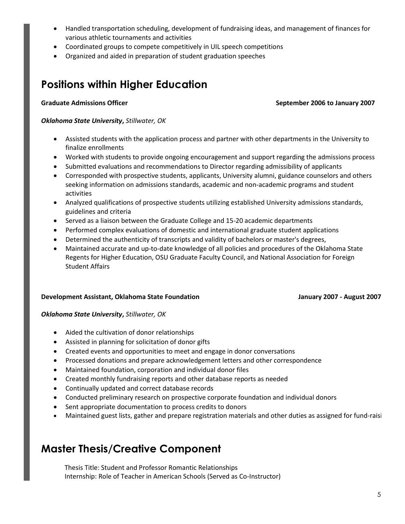- Handled transportation scheduling, development of fundraising ideas, and management of finances for various athletic tournaments and activities
- Coordinated groups to compete competitively in UIL speech competitions
- Organized and aided in preparation of student graduation speeches

## **Positions within Higher Education**

### **Graduate Admissions Officer September 2006 to January 2007**

### *Oklahoma State University***,** *Stillwater, OK*

- Assisted students with the application process and partner with other departments in the University to finalize enrollments
- Worked with students to provide ongoing encouragement and support regarding the admissions process
- Submitted evaluations and recommendations to Director regarding admissibility of applicants
- Corresponded with prospective students, applicants, University alumni, guidance counselors and others seeking information on admissions standards, academic and non-academic programs and student activities
- Analyzed qualifications of prospective students utilizing established University admissions standards, guidelines and criteria
- Served as a liaison between the Graduate College and 15-20 academic departments
- Performed complex evaluations of domestic and international graduate student applications
- Determined the authenticity of transcripts and validity of bachelors or master's degrees,
- Maintained accurate and up-to-date knowledge of all policies and procedures of the Oklahoma State Regents for Higher Education, OSU Graduate Faculty Council, and National Association for Foreign Student Affairs

### **Development Assistant, Oklahoma State Foundation January 2007 - August 2007**

### *Oklahoma State University***,** *Stillwater, OK*

- Aided the cultivation of donor relationships
- Assisted in planning for solicitation of donor gifts
- Created events and opportunities to meet and engage in donor conversations
- Processed donations and prepare acknowledgement letters and other correspondence
- Maintained foundation, corporation and individual donor files
- Created monthly fundraising reports and other database reports as needed
- Continually updated and correct database records
- Conducted preliminary research on prospective corporate foundation and individual donors
- Sent appropriate documentation to process credits to donors
- Maintained guest lists, gather and prepare registration materials and other duties as assigned for fund-raisi

## **Master Thesis/Creative Component**

Thesis Title: Student and Professor Romantic Relationships Internship: Role of Teacher in American Schools (Served as Co-Instructor)